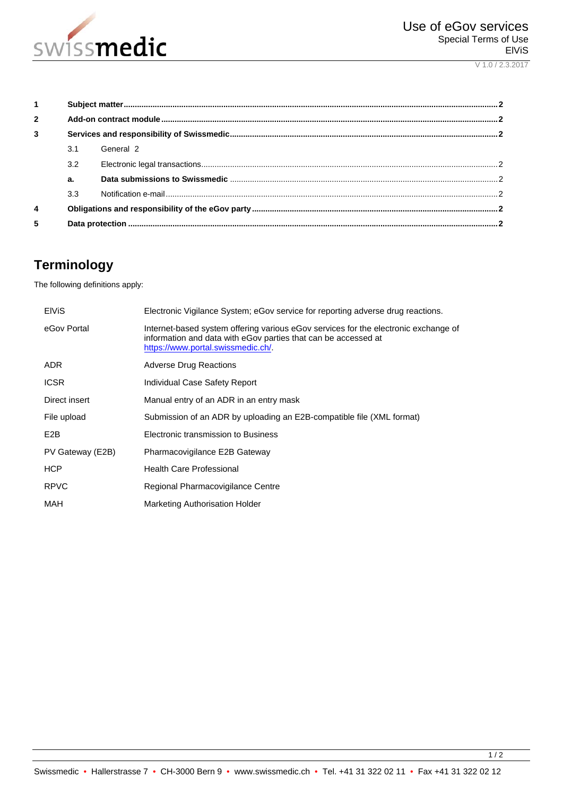

V 1.0 / 2.3.2017

| $\mathbf{1}$   |     |           |  |
|----------------|-----|-----------|--|
| $\overline{2}$ |     |           |  |
| 3              |     |           |  |
|                | 3.1 | General 2 |  |
|                | 3.2 |           |  |
|                | a.  |           |  |
|                | 3.3 |           |  |
| 4              |     |           |  |
| 5              |     |           |  |

# **Terminology**

The following definitions apply:

| <b>EIVIS</b>     | Electronic Vigilance System; eGov service for reporting adverse drug reactions.                                                                                                             |
|------------------|---------------------------------------------------------------------------------------------------------------------------------------------------------------------------------------------|
| eGov Portal      | Internet-based system offering various eGov services for the electronic exchange of<br>information and data with eGov parties that can be accessed at<br>https://www.portal.swissmedic.ch/. |
| <b>ADR</b>       | <b>Adverse Drug Reactions</b>                                                                                                                                                               |
| <b>ICSR</b>      | Individual Case Safety Report                                                                                                                                                               |
| Direct insert    | Manual entry of an ADR in an entry mask                                                                                                                                                     |
| File upload      | Submission of an ADR by uploading an E2B-compatible file (XML format)                                                                                                                       |
| E2B              | Electronic transmission to Business                                                                                                                                                         |
| PV Gateway (E2B) | Pharmacovigilance E2B Gateway                                                                                                                                                               |
| <b>HCP</b>       | <b>Health Care Professional</b>                                                                                                                                                             |
| <b>RPVC</b>      | Regional Pharmacovigilance Centre                                                                                                                                                           |
| MAH              | Marketing Authorisation Holder                                                                                                                                                              |

 $\frac{1}{2}$